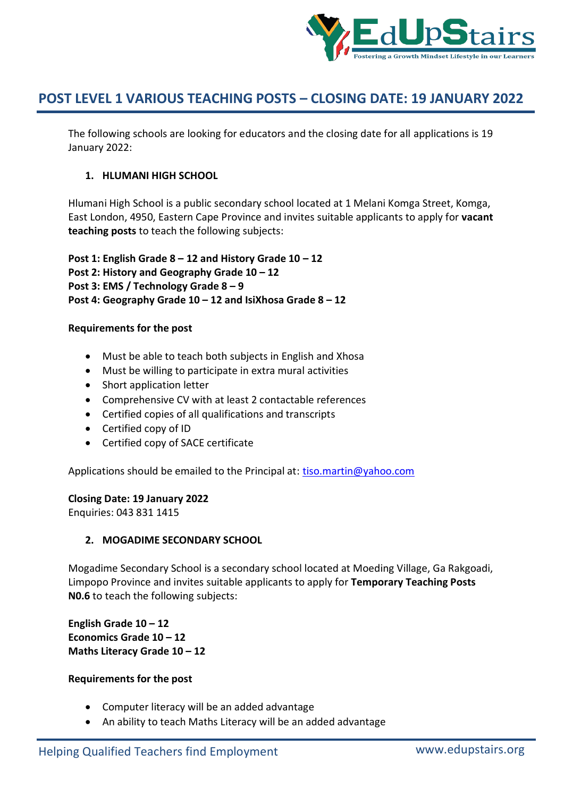

The following schools are looking for educators and the closing date for all applications is 19 January 2022:

# **1. HLUMANI HIGH SCHOOL**

Hlumani High School is a public secondary school located at 1 Melani Komga Street, Komga, East London, 4950, Eastern Cape Province and invites suitable applicants to apply for **vacant teaching posts** to teach the following subjects:

**Post 1: English Grade 8 – 12 and History Grade 10 – 12 Post 2: History and Geography Grade 10 – 12 Post 3: EMS / Technology Grade 8 – 9 Post 4: Geography Grade 10 – 12 and IsiXhosa Grade 8 – 12**

# **Requirements for the post**

- Must be able to teach both subjects in English and Xhosa
- Must be willing to participate in extra mural activities
- Short application letter
- Comprehensive CV with at least 2 contactable references
- Certified copies of all qualifications and transcripts
- Certified copy of ID
- Certified copy of SACE certificate

Applications should be emailed to the Principal at: tiso.martin@yahoo.com

# **Closing Date: 19 January 2022**

Enquiries: 043 831 1415

# **2. MOGADIME SECONDARY SCHOOL**

Mogadime Secondary School is a secondary school located at Moeding Village, Ga Rakgoadi, Limpopo Province and invites suitable applicants to apply for **Temporary Teaching Posts N0.6** to teach the following subjects:

**English Grade 10 – 12 Economics Grade 10 – 12 Maths Literacy Grade 10 – 12**

- Computer literacy will be an added advantage
- An ability to teach Maths Literacy will be an added advantage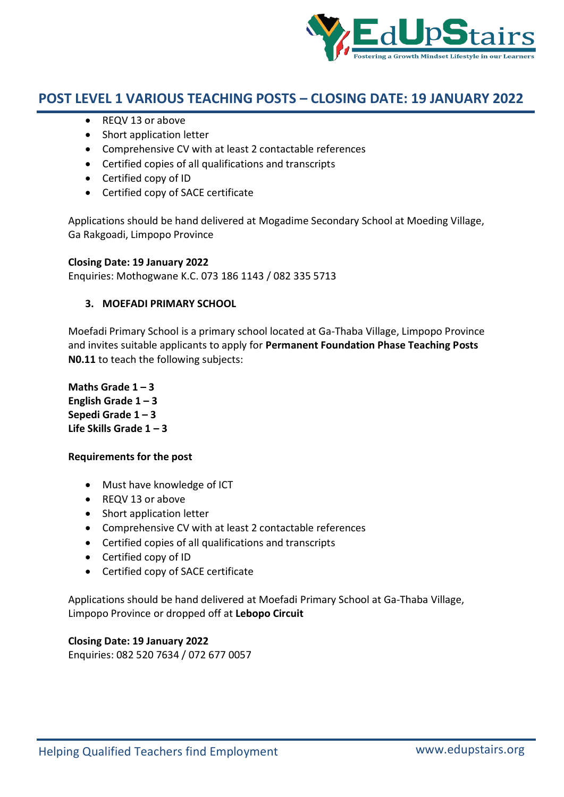

- REQV 13 or above
- Short application letter
- Comprehensive CV with at least 2 contactable references
- Certified copies of all qualifications and transcripts
- Certified copy of ID
- Certified copy of SACE certificate

Applications should be hand delivered at Mogadime Secondary School at Moeding Village, Ga Rakgoadi, Limpopo Province

### **Closing Date: 19 January 2022**

Enquiries: Mothogwane K.C. 073 186 1143 / 082 335 5713

# **3. MOEFADI PRIMARY SCHOOL**

Moefadi Primary School is a primary school located at Ga-Thaba Village, Limpopo Province and invites suitable applicants to apply for **Permanent Foundation Phase Teaching Posts N0.11** to teach the following subjects:

**Maths Grade**  $1 - 3$ **English Grade 1 – 3 Sepedi Grade 1 – 3 Life Skills Grade 1 – 3**

# **Requirements for the post**

- Must have knowledge of ICT
- REQV 13 or above
- Short application letter
- Comprehensive CV with at least 2 contactable references
- Certified copies of all qualifications and transcripts
- Certified copy of ID
- Certified copy of SACE certificate

Applications should be hand delivered at Moefadi Primary School at Ga-Thaba Village, Limpopo Province or dropped off at **Lebopo Circuit**

# **Closing Date: 19 January 2022**

Enquiries: 082 520 7634 / 072 677 0057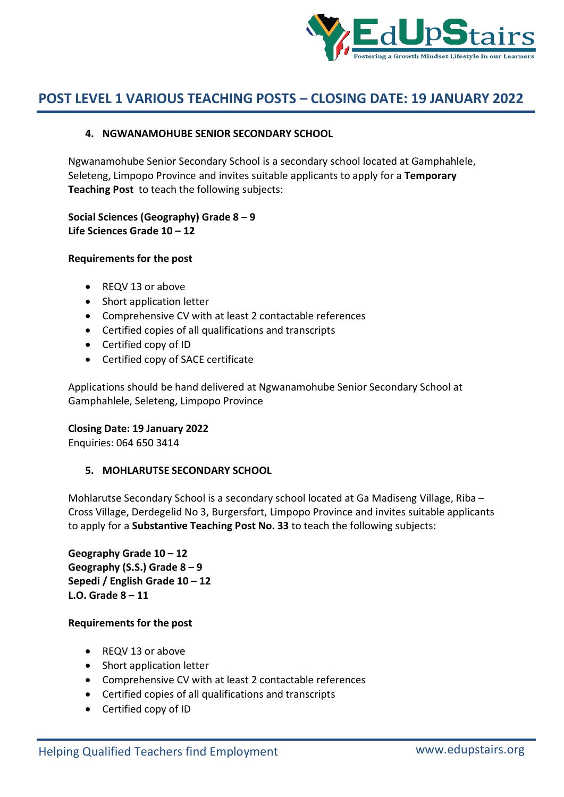

# **4. NGWANAMOHUBE SENIOR SECONDARY SCHOOL**

Ngwanamohube Senior Secondary School is a secondary school located at Gamphahlele, Seleteng, Limpopo Province and invites suitable applicants to apply for a **Temporary Teaching Post** to teach the following subjects:

**Social Sciences (Geography) Grade 8 – 9 Life Sciences Grade 10 – 12**

# **Requirements for the post**

- REQV 13 or above
- Short application letter
- Comprehensive CV with at least 2 contactable references
- Certified copies of all qualifications and transcripts
- Certified copy of ID
- Certified copy of SACE certificate

Applications should be hand delivered at Ngwanamohube Senior Secondary School at Gamphahlele, Seleteng, Limpopo Province

#### **Closing Date: 19 January 2022**

Enquiries: 064 650 3414

# **5. MOHLARUTSE SECONDARY SCHOOL**

Mohlarutse Secondary School is a secondary school located at Ga Madiseng Village, Riba – Cross Village, Derdegelid No 3, Burgersfort, Limpopo Province and invites suitable applicants to apply for a **Substantive Teaching Post No. 33** to teach the following subjects:

**Geography Grade 10 – 12 Geography (S.S.) Grade 8 – 9 Sepedi / English Grade 10 – 12 L.O. Grade 8 – 11**

- REQV 13 or above
- Short application letter
- Comprehensive CV with at least 2 contactable references
- Certified copies of all qualifications and transcripts
- Certified copy of ID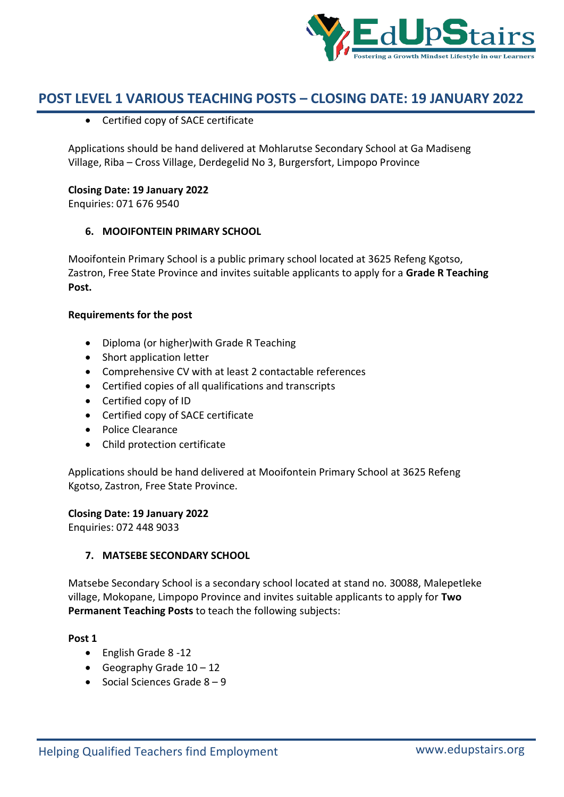

Certified copy of SACE certificate

Applications should be hand delivered at Mohlarutse Secondary School at Ga Madiseng Village, Riba – Cross Village, Derdegelid No 3, Burgersfort, Limpopo Province

### **Closing Date: 19 January 2022**

Enquiries: 071 676 9540

# **6. MOOIFONTEIN PRIMARY SCHOOL**

Mooifontein Primary School is a public primary school located at 3625 Refeng Kgotso, Zastron, Free State Province and invites suitable applicants to apply for a **Grade R Teaching Post.**

### **Requirements for the post**

- Diploma (or higher)with Grade R Teaching
- Short application letter
- Comprehensive CV with at least 2 contactable references
- Certified copies of all qualifications and transcripts
- Certified copy of ID
- Certified copy of SACE certificate
- Police Clearance
- Child protection certificate

Applications should be hand delivered at Mooifontein Primary School at 3625 Refeng Kgotso, Zastron, Free State Province.

#### **Closing Date: 19 January 2022**

Enquiries: 072 448 9033

# **7. MATSEBE SECONDARY SCHOOL**

Matsebe Secondary School is a secondary school located at stand no. 30088, Malepetleke village, Mokopane, Limpopo Province and invites suitable applicants to apply for **Two Permanent Teaching Posts** to teach the following subjects:

#### **Post 1**

- English Grade 8 -12
- Geography Grade  $10 12$
- $\bullet$  Social Sciences Grade  $8 9$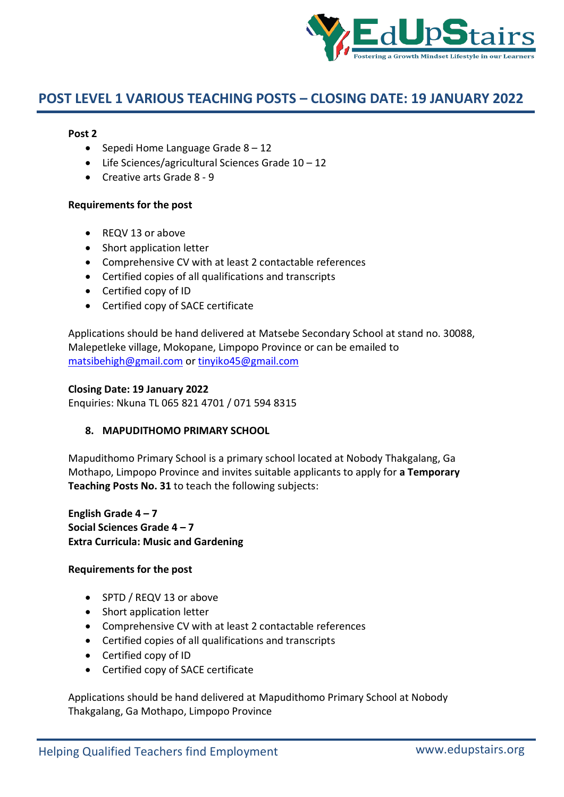

### **Post 2**

- Sepedi Home Language Grade  $8 12$
- Life Sciences/agricultural Sciences Grade 10 12
- Creative arts Grade 8 9

### **Requirements for the post**

- REQV 13 or above
- Short application letter
- Comprehensive CV with at least 2 contactable references
- Certified copies of all qualifications and transcripts
- Certified copy of ID
- Certified copy of SACE certificate

Applications should be hand delivered at Matsebe Secondary School at stand no. 30088, Malepetleke village, Mokopane, Limpopo Province or can be emailed to matsibehigh@gmail.com or tinyiko45@gmail.com

### **Closing Date: 19 January 2022**

Enquiries: Nkuna TL 065 821 4701 / 071 594 8315

# **8. MAPUDITHOMO PRIMARY SCHOOL**

Mapudithomo Primary School is a primary school located at Nobody Thakgalang, Ga Mothapo, Limpopo Province and invites suitable applicants to apply for **a Temporary Teaching Posts No. 31** to teach the following subjects:

**English Grade 4 – 7 Social Sciences Grade 4 – 7 Extra Curricula: Music and Gardening**

# **Requirements for the post**

- SPTD / REQV 13 or above
- Short application letter
- Comprehensive CV with at least 2 contactable references
- Certified copies of all qualifications and transcripts
- Certified copy of ID
- Certified copy of SACE certificate

Applications should be hand delivered at Mapudithomo Primary School at Nobody Thakgalang, Ga Mothapo, Limpopo Province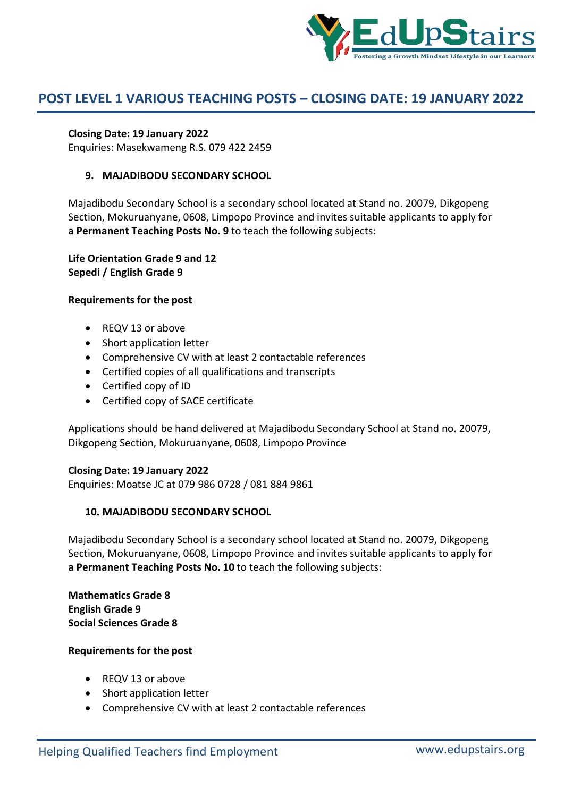

## **Closing Date: 19 January 2022**

Enquiries: Masekwameng R.S. 079 422 2459

### **9. MAJADIBODU SECONDARY SCHOOL**

Majadibodu Secondary School is a secondary school located at Stand no. 20079, Dikgopeng Section, Mokuruanyane, 0608, Limpopo Province and invites suitable applicants to apply for **a Permanent Teaching Posts No. 9** to teach the following subjects:

**Life Orientation Grade 9 and 12 Sepedi / English Grade 9**

#### **Requirements for the post**

- REQV 13 or above
- Short application letter
- Comprehensive CV with at least 2 contactable references
- Certified copies of all qualifications and transcripts
- Certified copy of ID
- Certified copy of SACE certificate

Applications should be hand delivered at Majadibodu Secondary School at Stand no. 20079, Dikgopeng Section, Mokuruanyane, 0608, Limpopo Province

#### **Closing Date: 19 January 2022**

Enquiries: Moatse JC at 079 986 0728 / 081 884 9861

#### **10. MAJADIBODU SECONDARY SCHOOL**

Majadibodu Secondary School is a secondary school located at Stand no. 20079, Dikgopeng Section, Mokuruanyane, 0608, Limpopo Province and invites suitable applicants to apply for **a Permanent Teaching Posts No. 10** to teach the following subjects:

**Mathematics Grade 8 English Grade 9 Social Sciences Grade 8**

- REQV 13 or above
- Short application letter
- Comprehensive CV with at least 2 contactable references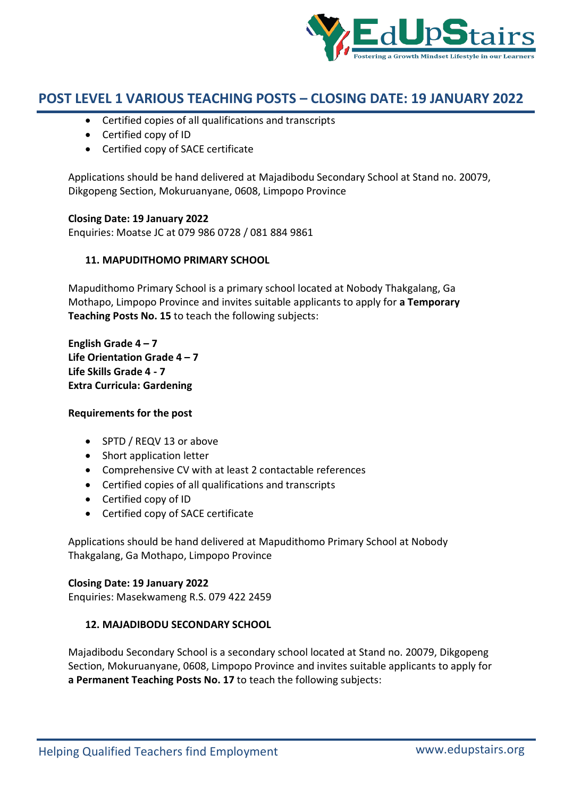

- Certified copies of all qualifications and transcripts
- Certified copy of ID
- Certified copy of SACE certificate

Applications should be hand delivered at Majadibodu Secondary School at Stand no. 20079, Dikgopeng Section, Mokuruanyane, 0608, Limpopo Province

### **Closing Date: 19 January 2022**

Enquiries: Moatse JC at 079 986 0728 / 081 884 9861

# **11. MAPUDITHOMO PRIMARY SCHOOL**

Mapudithomo Primary School is a primary school located at Nobody Thakgalang, Ga Mothapo, Limpopo Province and invites suitable applicants to apply for **a Temporary Teaching Posts No. 15** to teach the following subjects:

**English Grade 4 – 7 Life Orientation Grade 4 – 7 Life Skills Grade 4 - 7 Extra Curricula: Gardening**

#### **Requirements for the post**

- SPTD / REQV 13 or above
- Short application letter
- Comprehensive CV with at least 2 contactable references
- Certified copies of all qualifications and transcripts
- Certified copy of ID
- Certified copy of SACE certificate

Applications should be hand delivered at Mapudithomo Primary School at Nobody Thakgalang, Ga Mothapo, Limpopo Province

#### **Closing Date: 19 January 2022**

Enquiries: Masekwameng R.S. 079 422 2459

# **12. MAJADIBODU SECONDARY SCHOOL**

Majadibodu Secondary School is a secondary school located at Stand no. 20079, Dikgopeng Section, Mokuruanyane, 0608, Limpopo Province and invites suitable applicants to apply for **a Permanent Teaching Posts No. 17** to teach the following subjects: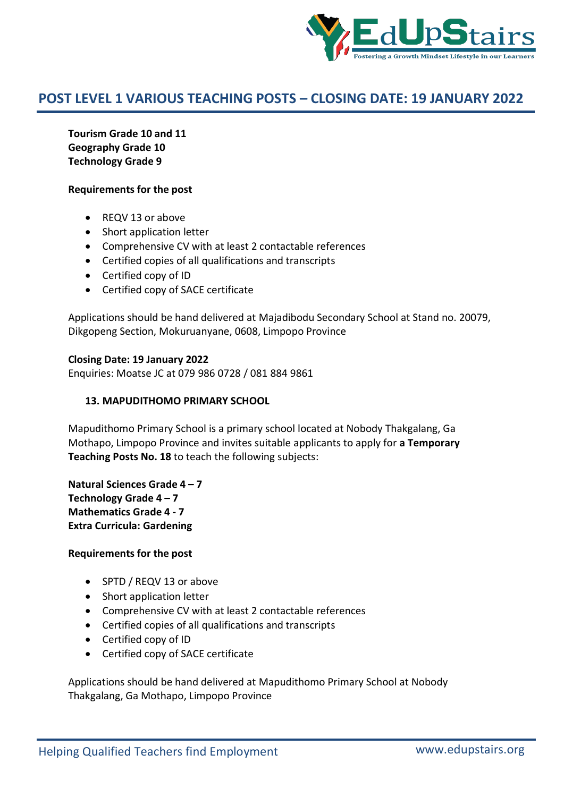

**Tourism Grade 10 and 11 Geography Grade 10 Technology Grade 9**

## **Requirements for the post**

- REQV 13 or above
- Short application letter
- Comprehensive CV with at least 2 contactable references
- Certified copies of all qualifications and transcripts
- Certified copy of ID
- Certified copy of SACE certificate

Applications should be hand delivered at Majadibodu Secondary School at Stand no. 20079, Dikgopeng Section, Mokuruanyane, 0608, Limpopo Province

### **Closing Date: 19 January 2022**

Enquiries: Moatse JC at 079 986 0728 / 081 884 9861

## **13. MAPUDITHOMO PRIMARY SCHOOL**

Mapudithomo Primary School is a primary school located at Nobody Thakgalang, Ga Mothapo, Limpopo Province and invites suitable applicants to apply for **a Temporary Teaching Posts No. 18** to teach the following subjects:

**Natural Sciences Grade 4 – 7 Technology Grade 4 – 7 Mathematics Grade 4 - 7 Extra Curricula: Gardening**

#### **Requirements for the post**

- SPTD / REQV 13 or above
- Short application letter
- Comprehensive CV with at least 2 contactable references
- Certified copies of all qualifications and transcripts
- Certified copy of ID
- Certified copy of SACE certificate

Applications should be hand delivered at Mapudithomo Primary School at Nobody Thakgalang, Ga Mothapo, Limpopo Province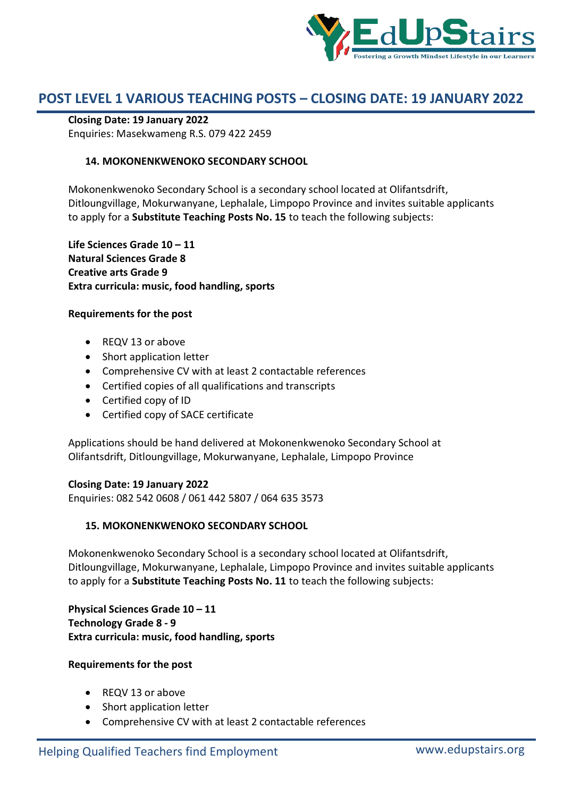

## **Closing Date: 19 January 2022**

Enquiries: Masekwameng R.S. 079 422 2459

# **14. MOKONENKWENOKO SECONDARY SCHOOL**

Mokonenkwenoko Secondary School is a secondary school located at Olifantsdrift, Ditloungvillage, Mokurwanyane, Lephalale, Limpopo Province and invites suitable applicants to apply for a **Substitute Teaching Posts No. 15** to teach the following subjects:

**Life Sciences Grade 10 – 11 Natural Sciences Grade 8 Creative arts Grade 9 Extra curricula: music, food handling, sports**

### **Requirements for the post**

- REQV 13 or above
- Short application letter
- Comprehensive CV with at least 2 contactable references
- Certified copies of all qualifications and transcripts
- Certified copy of ID
- Certified copy of SACE certificate

Applications should be hand delivered at Mokonenkwenoko Secondary School at Olifantsdrift, Ditloungvillage, Mokurwanyane, Lephalale, Limpopo Province

# **Closing Date: 19 January 2022**

Enquiries: 082 542 0608 / 061 442 5807 / 064 635 3573

# **15. MOKONENKWENOKO SECONDARY SCHOOL**

Mokonenkwenoko Secondary School is a secondary school located at Olifantsdrift, Ditloungvillage, Mokurwanyane, Lephalale, Limpopo Province and invites suitable applicants to apply for a **Substitute Teaching Posts No. 11** to teach the following subjects:

**Physical Sciences Grade 10 – 11 Technology Grade 8 - 9 Extra curricula: music, food handling, sports**

- REQV 13 or above
- Short application letter
- Comprehensive CV with at least 2 contactable references